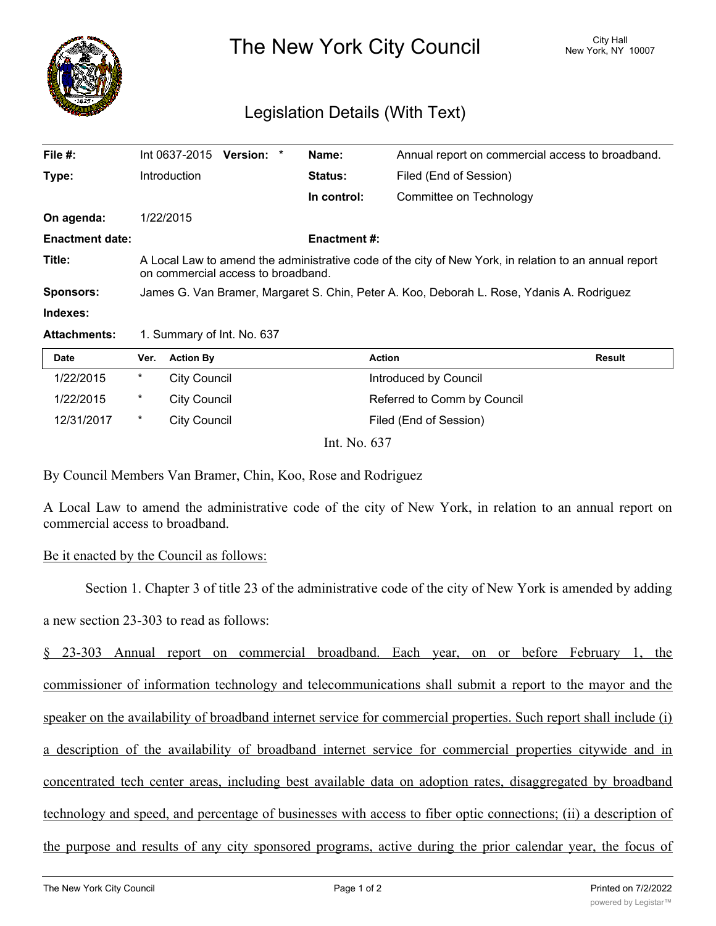

The New York City Council New York, NY 10007

## Legislation Details (With Text)

| File $#$ :             | Int 0637-2015                                                                                                                               | Version: * |  | Name:               | Annual report on commercial access to broadband. |  |  |
|------------------------|---------------------------------------------------------------------------------------------------------------------------------------------|------------|--|---------------------|--------------------------------------------------|--|--|
| Type:                  | Introduction                                                                                                                                |            |  | Status:             | Filed (End of Session)                           |  |  |
|                        |                                                                                                                                             |            |  | In control:         | Committee on Technology                          |  |  |
| On agenda:             | 1/22/2015                                                                                                                                   |            |  |                     |                                                  |  |  |
| <b>Enactment date:</b> |                                                                                                                                             |            |  | <b>Enactment #:</b> |                                                  |  |  |
| Title:                 | A Local Law to amend the administrative code of the city of New York, in relation to an annual report<br>on commercial access to broadband. |            |  |                     |                                                  |  |  |
| <b>Sponsors:</b>       | James G. Van Bramer, Margaret S. Chin, Peter A. Koo, Deborah L. Rose, Ydanis A. Rodriguez                                                   |            |  |                     |                                                  |  |  |
| Indexes:               |                                                                                                                                             |            |  |                     |                                                  |  |  |
| <b>Attachments:</b>    | 1. Summary of Int. No. 637                                                                                                                  |            |  |                     |                                                  |  |  |

| <b>Date</b> | Ver.   | <b>Action By</b>                   | <b>Action</b>               | <b>Result</b> |
|-------------|--------|------------------------------------|-----------------------------|---------------|
| 1/22/2015   | *      | City Council                       | Introduced by Council       |               |
| 1/22/2015   | $\ast$ | City Council                       | Referred to Comm by Council |               |
| 12/31/2017  | *      | City Council                       | Filed (End of Session)      |               |
|             |        | $\sim$ $\sim$ $\sim$ $\sim$ $\sim$ |                             |               |

Int. No. 637

By Council Members Van Bramer, Chin, Koo, Rose and Rodriguez

A Local Law to amend the administrative code of the city of New York, in relation to an annual report on commercial access to broadband.

## Be it enacted by the Council as follows:

Section 1. Chapter 3 of title 23 of the administrative code of the city of New York is amended by adding a new section 23-303 to read as follows:

§ 23-303 Annual report on commercial broadband. Each year, on or before February 1, the commissioner of information technology and telecommunications shall submit a report to the mayor and the speaker on the availability of broadband internet service for commercial properties. Such report shall include (i) a description of the availability of broadband internet service for commercial properties citywide and in concentrated tech center areas, including best available data on adoption rates, disaggregated by broadband technology and speed, and percentage of businesses with access to fiber optic connections; (ii) a description of the purpose and results of any city sponsored programs, active during the prior calendar year, the focus of